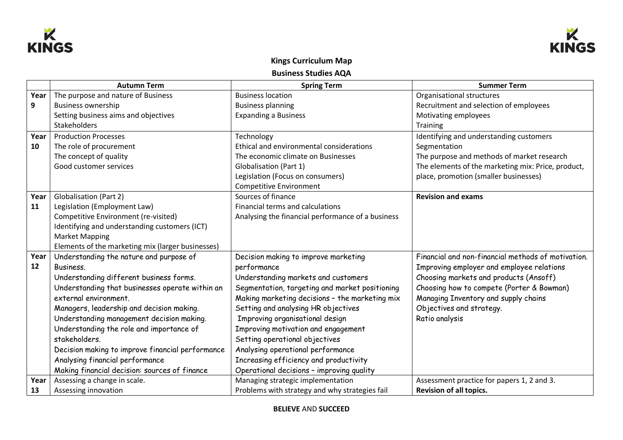



## **Kings Curriculum Map Business Studies AQA**

|      | <b>Autumn Term</b>                                | <b>Spring Term</b>                                | <b>Summer Term</b>                                 |
|------|---------------------------------------------------|---------------------------------------------------|----------------------------------------------------|
| Year | The purpose and nature of Business                | <b>Business location</b>                          | Organisational structures                          |
| 9    | <b>Business ownership</b>                         | <b>Business planning</b>                          | Recruitment and selection of employees             |
|      | Setting business aims and objectives              | <b>Expanding a Business</b>                       | Motivating employees                               |
|      | Stakeholders                                      |                                                   | Training                                           |
| Year | <b>Production Processes</b>                       | Technology                                        | Identifying and understanding customers            |
| 10   | The role of procurement                           | Ethical and environmental considerations          | Segmentation                                       |
|      | The concept of quality                            | The economic climate on Businesses                | The purpose and methods of market research         |
|      | Good customer services                            | <b>Globalisation (Part 1)</b>                     | The elements of the marketing mix: Price, product, |
|      |                                                   | Legislation (Focus on consumers)                  | place, promotion (smaller businesses)              |
|      |                                                   | <b>Competitive Environment</b>                    |                                                    |
| Year | Globalisation (Part 2)                            | Sources of finance                                | <b>Revision and exams</b>                          |
| 11   | Legislation (Employment Law)                      | Financial terms and calculations                  |                                                    |
|      | Competitive Environment (re-visited)              | Analysing the financial performance of a business |                                                    |
|      | Identifying and understanding customers (ICT)     |                                                   |                                                    |
|      | <b>Market Mapping</b>                             |                                                   |                                                    |
|      | Elements of the marketing mix (larger businesses) |                                                   |                                                    |
| Year | Understanding the nature and purpose of           | Decision making to improve marketing              | Financial and non-financial methods of motivation. |
| 12   | Business.                                         | performance                                       | Improving employer and employee relations          |
|      | Understanding different business forms.           | Understanding markets and customers               | Choosing markets and products (Ansoff)             |
|      | Understanding that businesses operate within an   | Segmentation, targeting and market positioning    | Choosing how to compete (Porter & Bowman)          |
|      | external environment.                             | Making marketing decisions - the marketing mix    | Managing Inventory and supply chains               |
|      | Managers, leadership and decision making.         | Setting and analysing HR objectives               | Objectives and strategy.                           |
|      | Understanding management decision making.         | Improving organisational design                   | Ratio analysis                                     |
|      | Understanding the role and importance of          | Improving motivation and engagement               |                                                    |
|      | stakeholders.                                     | Setting operational objectives                    |                                                    |
|      | Decision making to improve financial performance  | Analysing operational performance                 |                                                    |
|      | Analysing financial performance                   | Increasing efficiency and productivity            |                                                    |
|      | Making financial decision: sources of finance     | Operational decisions - improving quality         |                                                    |
| Year | Assessing a change in scale.                      | Managing strategic implementation                 | Assessment practice for papers 1, 2 and 3.         |
| 13   | Assessing innovation                              | Problems with strategy and why strategies fail    | <b>Revision of all topics.</b>                     |